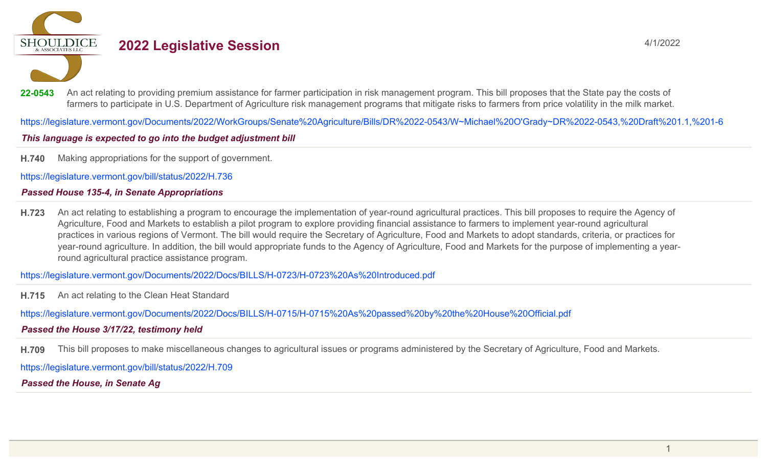**SHOULDICE** 

# **2022 Legislative Session** 4/1/2022

22-0543 An act relating to providing premium assistance for farmer participation in risk management program. This bill proposes that the State pay the costs of farmers to participate in U.S. Department of Agriculture risk management programs that mitigate risks to farmers from price volatility in the milk market.

https://legislature.vermont.gov/Documents/2022/WorkGroups/Senate%20Agriculture/Bills/DR%2022-0543/W~Michael%20O'Grady~DR%2022-0543,%20Draft%201.1,%201-6

## This language is expected to go into the budget adjustment bill

**H.740** Making appropriations for the support of government.

https://legislature.vermont.gov/bill/status/2022/H.736

## *Passed House 135-4, in Senate Appropriations*

**H.723** An act relating to establishing a program to encourage the implementation of year-round agricultural practices. This bill proposes to require the Agency of Agriculture, Food and Markets to establish a pilot program to explore providing financial assistance to farmers to implement year-round agricultural practices in various regions of Vermont. The bill would require the Secretary of Agriculture, Food and Markets to adopt standards, criteria, or practices for year-round agriculture. In addition, the bill would appropriate funds to the Agency of Agriculture, Food and Markets for the purpose of implementing a yearround agricultural practice assistance program.

https://legislature.vermont.gov/Documents/2022/Docs/BILLS/H-0723/H-0723%20As%20Introduced.pdf

**H.715** An act relating to the Clean Heat Standard

https://legislature.vermont.gov/Documents/2022/Docs/BILLS/H-0715/H-0715%20As%20passed%20by%20the%20House%20Official.pdf

# *Passed the House 3/17/22, testimony held*

**H.709** This bill proposes to make miscellaneous changes to agricultural issues or programs administered by the Secretary of Agriculture, Food and Markets.

https://legislature.vermont.gov/bill/status/2022/H.709

*Passed the House, in Senate Ag*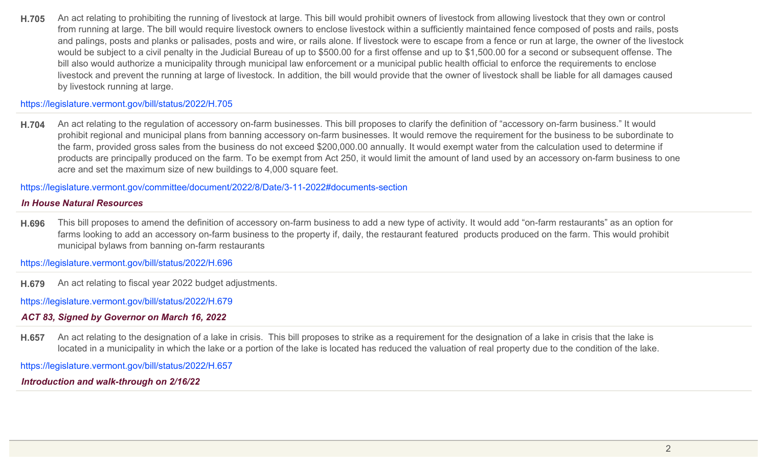**H.705** An act relating to prohibiting the running of livestock at large. This bill would prohibit owners of livestock from allowing livestock that they own or control from running at large. The bill would require livestock owners to enclose livestock within a sufficiently maintained fence composed of posts and rails, posts and palings, posts and planks or palisades, posts and wire, or rails alone. If livestock were to escape from a fence or run at large, the owner of the livestock would be subject to a civil penalty in the Judicial Bureau of up to \$500.00 for a first offense and up to \$1,500.00 for a second or subsequent offense. The bill also would authorize a municipality through municipal law enforcement or a municipal public health official to enforce the requirements to enclose livestock and prevent the running at large of livestock. In addition, the bill would provide that the owner of livestock shall be liable for all damages caused by livestock running at large.

#### https://legislature.vermont.gov/bill/status/2022/H.705

**H.704** An act relating to the regulation of accessory on-farm businesses. This bill proposes to clarify the definition of "accessory on-farm business." It would prohibit regional and municipal plans from banning accessory on-farm businesses. It would remove the requirement for the business to be subordinate to the farm, provided gross sales from the business do not exceed \$200,000.00 annually. It would exempt water from the calculation used to determine if products are principally produced on the farm. To be exempt from Act 250, it would limit the amount of land used by an accessory on-farm business to one acre and set the maximum size of new buildings to 4,000 square feet.

https://legislature.vermont.gov/committee/document/2022/8/Date/3-11-2022#documents-section

#### *In House Natural Resources*

**H.696** This bill proposes to amend the definition of accessory on-farm business to add a new type of activity. It would add "on-farm restaurants" as an option for farms looking to add an accessory on-farm business to the property if, daily, the restaurant featured products produced on the farm. This would prohibit municipal bylaws from banning on-farm restaurants

https://legislature.vermont.gov/bill/status/2022/H.696

**H.679** An act relating to fiscal year 2022 budget adjustments.

https://legislature.vermont.gov/bill/status/2022/H.679

#### *ACT 83, Signed by Governor on March 16, 2022*

**H.657** An act relating to the designation of a lake in crisis. This bill proposes to strike as a requirement for the designation of a lake in crisis that the lake is located in a municipality in which the lake or a portion of the lake is located has reduced the valuation of real property due to the condition of the lake.

https://legislature.vermont.gov/bill/status/2022/H.657

*Introduction and walk-through on 2/16/22*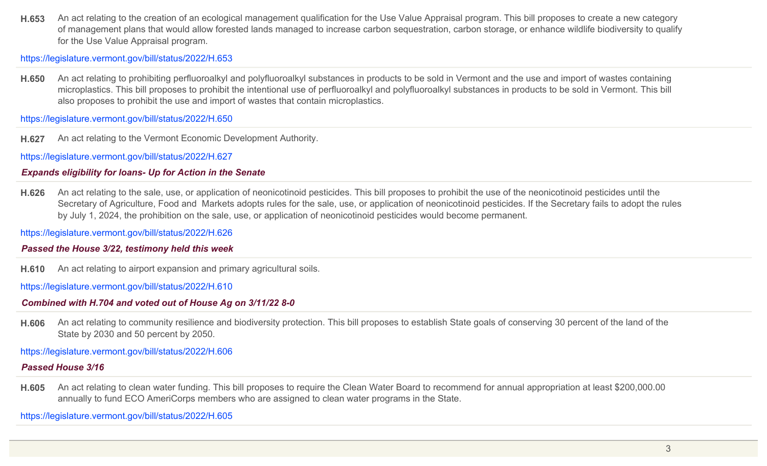**H.653** An act relating to the creation of an ecological management qualification for the Use Value Appraisal program. This bill proposes to create a new category of management plans that would allow forested lands managed to increase carbon sequestration, carbon storage, or enhance wildlife biodiversity to qualify for the Use Value Appraisal program.

https://legislature.vermont.gov/bill/status/2022/H.653

**H.650** An act relating to prohibiting perfluoroalkyl and polyfluoroalkyl substances in products to be sold in Vermont and the use and import of wastes containing microplastics. This bill proposes to prohibit the intentional use of perfluoroalkyl and polyfluoroalkyl substances in products to be sold in Vermont. This bill also proposes to prohibit the use and import of wastes that contain microplastics.

https://legislature.vermont.gov/bill/status/2022/H.650

**H.627** An act relating to the Vermont Economic Development Authority.

https://legislature.vermont.gov/bill/status/2022/H.627

# *Expands eligibility for loans- Up for Action in the Senate*

**H.626** An act relating to the sale, use, or application of neonicotinoid pesticides. This bill proposes to prohibit the use of the neonicotinoid pesticides until the Secretary of Agriculture, Food and Markets adopts rules for the sale, use, or application of neonicotinoid pesticides. If the Secretary fails to adopt the rules by July 1, 2024, the prohibition on the sale, use, or application of neonicotinoid pesticides would become permanent.

https://legislature.vermont.gov/bill/status/2022/H.626

## *Passed the House 3/22, testimony held this week*

**H.610** An act relating to airport expansion and primary agricultural soils.

https://legislature.vermont.gov/bill/status/2022/H.610

# *Combined with H.704 and voted out of House Ag on 3/11/22 8-0*

**H.606** An act relating to community resilience and biodiversity protection. This bill proposes to establish State goals of conserving 30 percent of the land of the State by 2030 and 50 percent by 2050.

https://legislature.vermont.gov/bill/status/2022/H.606

# *Passed House 3/16*

**H.605** An act relating to clean water funding. This bill proposes to require the Clean Water Board to recommend for annual appropriation at least \$200,000.00 annually to fund ECO AmeriCorps members who are assigned to clean water programs in the State.

https://legislature.vermont.gov/bill/status/2022/H.605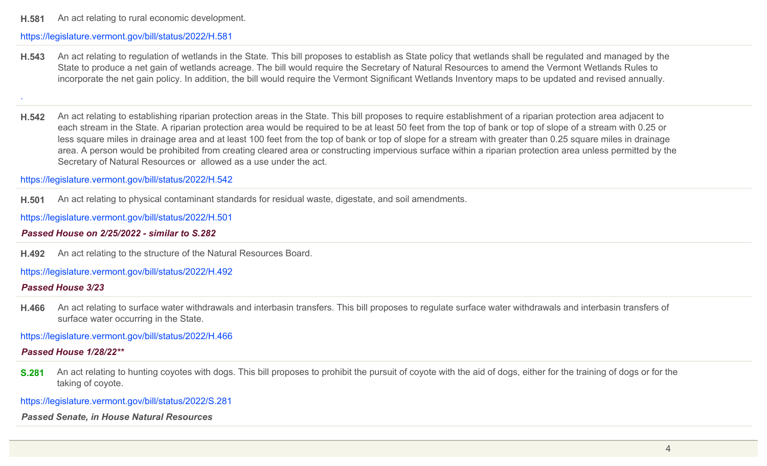**H.581** An act relating to rural economic development.

#### https://legislature.vermont.gov/bill/status/2022/H.581

**H.543** An act relating to regulation of wetlands in the State. This bill proposes to establish as State policy that wetlands shall be regulated and managed by the State to produce a net gain of wetlands acreage. The bill would require the Secretary of Natural Resources to amend the Vermont Wetlands Rules to incorporate the net gain policy. In addition, the bill would require the Vermont Significant Wetlands Inventory maps to be updated and revised annually.

.

**H.542** An act relating to establishing riparian protection areas in the State. This bill proposes to require establishment of a riparian protection area adjacent to each stream in the State. A riparian protection area would be required to be at least 50 feet from the top of bank or top of slope of a stream with 0.25 or less square miles in drainage area and at least 100 feet from the top of bank or top of slope for a stream with greater than 0.25 square miles in drainage area. A person would be prohibited from creating cleared area or constructing impervious surface within a riparian protection area unless permitted by the Secretary of Natural Resources or allowed as a use under the act.

https://legislature.vermont.gov/bill/status/2022/H.542

**H.501** An act relating to physical contaminant standards for residual waste, digestate, and soil amendments.

https://legislature.vermont.gov/bill/status/2022/H.501

### *Passed House on 2/25/2022 - similar to S.282*

**H.492** An act relating to the structure of the Natural Resources Board.

https://legislature.vermont.gov/bill/status/2022/H.492

#### *Passed House 3/23*

**H.466** An act relating to surface water withdrawals and interbasin transfers. This bill proposes to regulate surface water withdrawals and interbasin transfers of surface water occurring in the State.

https://legislature.vermont.gov/bill/status/2022/H.466

## *Passed House 1/28/22\*\**

**S.281** An act relating to hunting coyotes with dogs. This bill proposes to prohibit the pursuit of coyote with the aid of dogs, either for the training of dogs or for the taking of coyote.

https://legislature.vermont.gov/bill/status/2022/S.281

*Passed Senate, in House Natural Resources*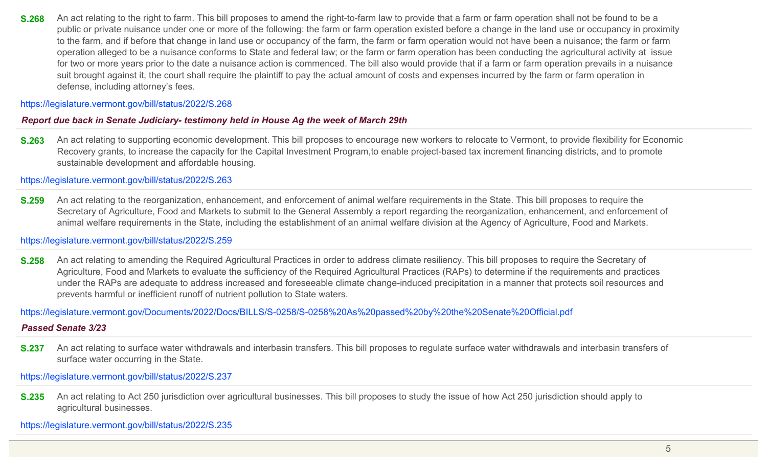**S.268** An act relating to the right to farm. This bill proposes to amend the right-to-farm law to provide that a farm or farm operation shall not be found to be a public or private nuisance under one or more of the following: the farm or farm operation existed before a change in the land use or occupancy in proximity to the farm, and if before that change in land use or occupancy of the farm, the farm or farm operation would not have been a nuisance; the farm or farm operation alleged to be a nuisance conforms to State and federal law; or the farm or farm operation has been conducting the agricultural activity at issue for two or more years prior to the date a nuisance action is commenced. The bill also would provide that if a farm or farm operation prevails in a nuisance suit brought against it, the court shall require the plaintiff to pay the actual amount of costs and expenses incurred by the farm or farm operation in defense, including attorney's fees.

#### https://legislature.vermont.gov/bill/status/2022/S.268

#### *Report due back in Senate Judiciary- testimony held in House Ag the week of March 29th*

**S.263** An act relating to supporting economic development. This bill proposes to encourage new workers to relocate to Vermont, to provide flexibility for Economic Recovery grants, to increase the capacity for the Capital Investment Program,to enable project-based tax increment financing districts, and to promote sustainable development and affordable housing.

https://legislature.vermont.gov/bill/status/2022/S.263

**S.259** An act relating to the reorganization, enhancement, and enforcement of animal welfare requirements in the State. This bill proposes to require the Secretary of Agriculture, Food and Markets to submit to the General Assembly a report regarding the reorganization, enhancement, and enforcement of animal welfare requirements in the State, including the establishment of an animal welfare division at the Agency of Agriculture, Food and Markets.

#### https://legislature.vermont.gov/bill/status/2022/S.259

**S.258** An act relating to amending the Required Agricultural Practices in order to address climate resiliency. This bill proposes to require the Secretary of Agriculture, Food and Markets to evaluate the sufficiency of the Required Agricultural Practices (RAPs) to determine if the requirements and practices under the RAPs are adequate to address increased and foreseeable climate change-induced precipitation in a manner that protects soil resources and prevents harmful or inefficient runoff of nutrient pollution to State waters.

https://legislature.vermont.gov/Documents/2022/Docs/BILLS/S-0258/S-0258%20As%20passed%20by%20the%20Senate%20Official.pdf

#### *Passed Senate 3/23*

**S.237** An act relating to surface water withdrawals and interbasin transfers. This bill proposes to regulate surface water withdrawals and interbasin transfers of surface water occurring in the State.

https://legislature.vermont.gov/bill/status/2022/S.237

**S.235** An act relating to Act 250 jurisdiction over agricultural businesses. This bill proposes to study the issue of how Act 250 jurisdiction should apply to agricultural businesses.

https://legislature.vermont.gov/bill/status/2022/S.235